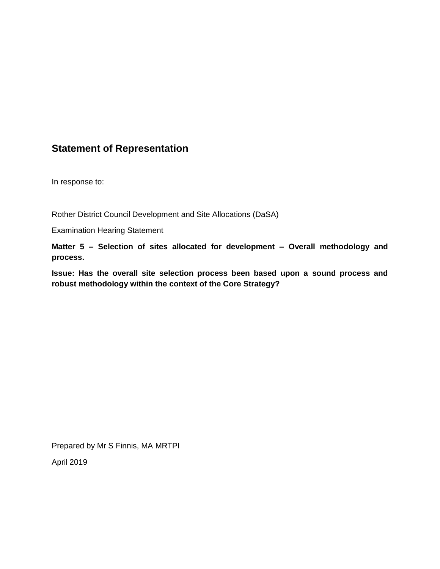## **Statement of Representation**

In response to:

Rother District Council Development and Site Allocations (DaSA)

Examination Hearing Statement

**Matter 5 – Selection of sites allocated for development – Overall methodology and process.** 

**Issue: Has the overall site selection process been based upon a sound process and robust methodology within the context of the Core Strategy?**

Prepared by Mr S Finnis, MA MRTPI

April 2019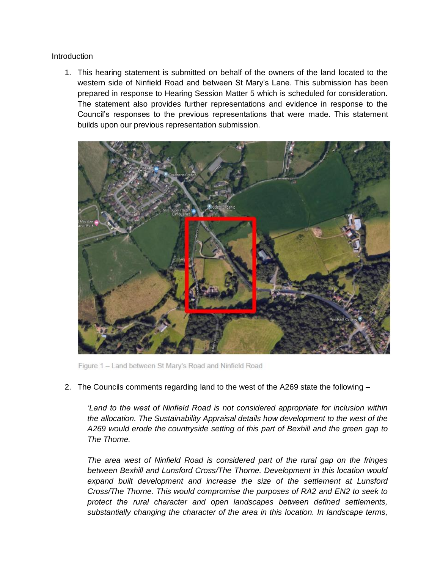Introduction

1. This hearing statement is submitted on behalf of the owners of the land located to the western side of Ninfield Road and between St Mary's Lane. This submission has been prepared in response to Hearing Session Matter 5 which is scheduled for consideration. The statement also provides further representations and evidence in response to the Council's responses to the previous representations that were made. This statement builds upon our previous representation submission.



Figure 1 - Land between St Mary's Road and Ninfield Road

2. The Councils comments regarding land to the west of the A269 state the following –

*'Land to the west of Ninfield Road is not considered appropriate for inclusion within the allocation. The Sustainability Appraisal details how development to the west of the A269 would erode the countryside setting of this part of Bexhill and the green gap to The Thorne.*

*The area west of Ninfield Road is considered part of the rural gap on the fringes between Bexhill and Lunsford Cross/The Thorne. Development in this location would expand built development and increase the size of the settlement at Lunsford Cross/The Thorne. This would compromise the purposes of RA2 and EN2 to seek to protect the rural character and open landscapes between defined settlements, substantially changing the character of the area in this location. In landscape terms,*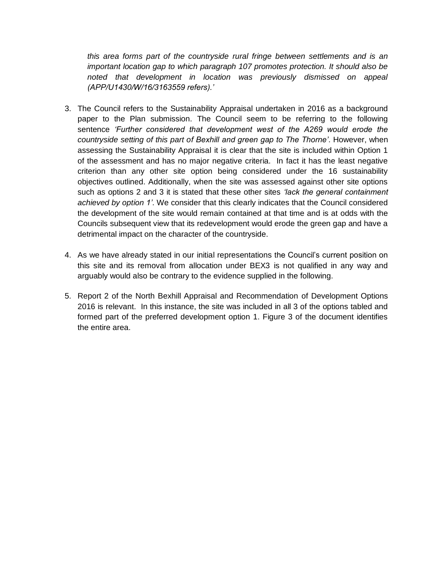*this area forms part of the countryside rural fringe between settlements and is an important location gap to which paragraph 107 promotes protection. It should also be noted that development in location was previously dismissed on appeal (APP/U1430/W/16/3163559 refers).'*

- 3. The Council refers to the Sustainability Appraisal undertaken in 2016 as a background paper to the Plan submission. The Council seem to be referring to the following sentence *'Further considered that development west of the A269 would erode the countryside setting of this part of Bexhill and green gap to The Thorne'*. However, when assessing the Sustainability Appraisal it is clear that the site is included within Option 1 of the assessment and has no major negative criteria. In fact it has the least negative criterion than any other site option being considered under the 16 sustainability objectives outlined. Additionally, when the site was assessed against other site options such as options 2 and 3 it is stated that these other sites *'lack the general containment achieved by option 1'*. We consider that this clearly indicates that the Council considered the development of the site would remain contained at that time and is at odds with the Councils subsequent view that its redevelopment would erode the green gap and have a detrimental impact on the character of the countryside.
- 4. As we have already stated in our initial representations the Council's current position on this site and its removal from allocation under BEX3 is not qualified in any way and arguably would also be contrary to the evidence supplied in the following.
- 5. Report 2 of the North Bexhill Appraisal and Recommendation of Development Options 2016 is relevant. In this instance, the site was included in all 3 of the options tabled and formed part of the preferred development option 1. Figure 3 of the document identifies the entire area.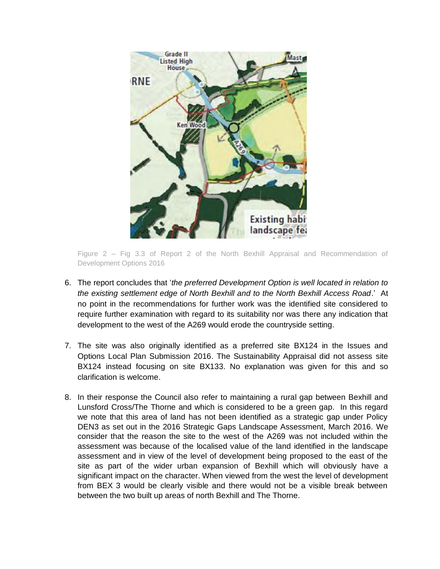

Figure 2 – Fig 3.3 of Report 2 of the North Bexhill Appraisal and Recommendation of Development Options 2016

- 6. The report concludes that '*the preferred Development Option is well located in relation to the existing settlement edge of North Bexhill and to the North Bexhill Access Road*.' At no point in the recommendations for further work was the identified site considered to require further examination with regard to its suitability nor was there any indication that development to the west of the A269 would erode the countryside setting.
- 7. The site was also originally identified as a preferred site BX124 in the Issues and Options Local Plan Submission 2016. The Sustainability Appraisal did not assess site BX124 instead focusing on site BX133. No explanation was given for this and so clarification is welcome.
- 8. In their response the Council also refer to maintaining a rural gap between Bexhill and Lunsford Cross/The Thorne and which is considered to be a green gap. In this regard we note that this area of land has not been identified as a strategic gap under Policy DEN3 as set out in the 2016 Strategic Gaps Landscape Assessment, March 2016. We consider that the reason the site to the west of the A269 was not included within the assessment was because of the localised value of the land identified in the landscape assessment and in view of the level of development being proposed to the east of the site as part of the wider urban expansion of Bexhill which will obviously have a significant impact on the character. When viewed from the west the level of development from BEX 3 would be clearly visible and there would not be a visible break between between the two built up areas of north Bexhill and The Thorne.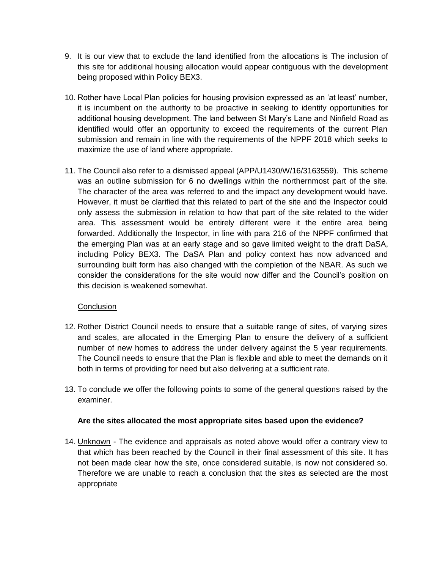- 9. It is our view that to exclude the land identified from the allocations is The inclusion of this site for additional housing allocation would appear contiguous with the development being proposed within Policy BEX3.
- 10. Rother have Local Plan policies for housing provision expressed as an 'at least' number, it is incumbent on the authority to be proactive in seeking to identify opportunities for additional housing development. The land between St Mary's Lane and Ninfield Road as identified would offer an opportunity to exceed the requirements of the current Plan submission and remain in line with the requirements of the NPPF 2018 which seeks to maximize the use of land where appropriate.
- 11. The Council also refer to a dismissed appeal (APP/U1430/W/16/3163559). This scheme was an outline submission for 6 no dwellings within the northernmost part of the site. The character of the area was referred to and the impact any development would have. However, it must be clarified that this related to part of the site and the Inspector could only assess the submission in relation to how that part of the site related to the wider area. This assessment would be entirely different were it the entire area being forwarded. Additionally the Inspector, in line with para 216 of the NPPF confirmed that the emerging Plan was at an early stage and so gave limited weight to the draft DaSA, including Policy BEX3. The DaSA Plan and policy context has now advanced and surrounding built form has also changed with the completion of the NBAR. As such we consider the considerations for the site would now differ and the Council's position on this decision is weakened somewhat.

## **Conclusion**

- 12. Rother District Council needs to ensure that a suitable range of sites, of varying sizes and scales, are allocated in the Emerging Plan to ensure the delivery of a sufficient number of new homes to address the under delivery against the 5 year requirements. The Council needs to ensure that the Plan is flexible and able to meet the demands on it both in terms of providing for need but also delivering at a sufficient rate.
- 13. To conclude we offer the following points to some of the general questions raised by the examiner.

## **Are the sites allocated the most appropriate sites based upon the evidence?**

14. Unknown - The evidence and appraisals as noted above would offer a contrary view to that which has been reached by the Council in their final assessment of this site. It has not been made clear how the site, once considered suitable, is now not considered so. Therefore we are unable to reach a conclusion that the sites as selected are the most appropriate